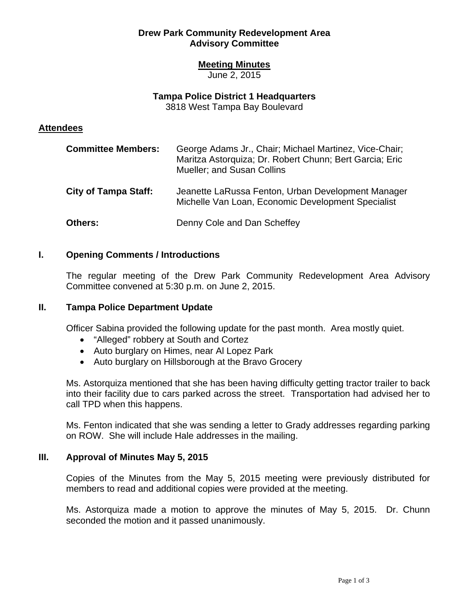# **Drew Park Community Redevelopment Area Advisory Committee**

# **Meeting Minutes**

June 2, 2015

# **Tampa Police District 1 Headquarters**

3818 West Tampa Bay Boulevard

# **Attendees**

| <b>Committee Members:</b>   | George Adams Jr., Chair; Michael Martinez, Vice-Chair;<br>Maritza Astorquiza; Dr. Robert Chunn; Bert Garcia; Eric<br><b>Mueller; and Susan Collins</b> |
|-----------------------------|--------------------------------------------------------------------------------------------------------------------------------------------------------|
| <b>City of Tampa Staff:</b> | Jeanette LaRussa Fenton, Urban Development Manager<br>Michelle Van Loan, Economic Development Specialist                                               |
| <b>Others:</b>              | Denny Cole and Dan Scheffey                                                                                                                            |

# **I. Opening Comments / Introductions**

The regular meeting of the Drew Park Community Redevelopment Area Advisory Committee convened at 5:30 p.m. on June 2, 2015.

### **II. Tampa Police Department Update**

Officer Sabina provided the following update for the past month. Area mostly quiet.

- "Alleged" robbery at South and Cortez
- Auto burglary on Himes, near Al Lopez Park
- Auto burglary on Hillsborough at the Bravo Grocery

Ms. Astorquiza mentioned that she has been having difficulty getting tractor trailer to back into their facility due to cars parked across the street. Transportation had advised her to call TPD when this happens.

Ms. Fenton indicated that she was sending a letter to Grady addresses regarding parking on ROW. She will include Hale addresses in the mailing.

### **III. Approval of Minutes May 5, 2015**

Copies of the Minutes from the May 5, 2015 meeting were previously distributed for members to read and additional copies were provided at the meeting.

Ms. Astorquiza made a motion to approve the minutes of May 5, 2015. Dr. Chunn seconded the motion and it passed unanimously.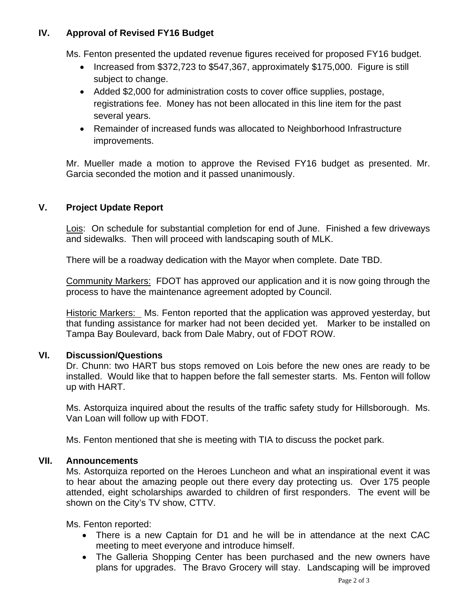### **IV. Approval of Revised FY16 Budget**

Ms. Fenton presented the updated revenue figures received for proposed FY16 budget.

- Increased from \$372,723 to \$547,367, approximately \$175,000. Figure is still subject to change.
- Added \$2,000 for administration costs to cover office supplies, postage, registrations fee. Money has not been allocated in this line item for the past several years.
- Remainder of increased funds was allocated to Neighborhood Infrastructure improvements.

Mr. Mueller made a motion to approve the Revised FY16 budget as presented. Mr. Garcia seconded the motion and it passed unanimously.

### **V. Project Update Report**

Lois: On schedule for substantial completion for end of June. Finished a few driveways and sidewalks. Then will proceed with landscaping south of MLK.

There will be a roadway dedication with the Mayor when complete. Date TBD.

Community Markers: FDOT has approved our application and it is now going through the process to have the maintenance agreement adopted by Council.

Historic Markers: Ms. Fenton reported that the application was approved yesterday, but that funding assistance for marker had not been decided yet. Marker to be installed on Tampa Bay Boulevard, back from Dale Mabry, out of FDOT ROW.

#### **VI. Discussion/Questions**

Dr. Chunn: two HART bus stops removed on Lois before the new ones are ready to be installed. Would like that to happen before the fall semester starts. Ms. Fenton will follow up with HART.

Ms. Astorquiza inquired about the results of the traffic safety study for Hillsborough. Ms. Van Loan will follow up with FDOT.

Ms. Fenton mentioned that she is meeting with TIA to discuss the pocket park.

#### **VII. Announcements**

Ms. Astorquiza reported on the Heroes Luncheon and what an inspirational event it was to hear about the amazing people out there every day protecting us. Over 175 people attended, eight scholarships awarded to children of first responders. The event will be shown on the City's TV show, CTTV.

Ms. Fenton reported:

- There is a new Captain for D1 and he will be in attendance at the next CAC meeting to meet everyone and introduce himself.
- The Galleria Shopping Center has been purchased and the new owners have plans for upgrades. The Bravo Grocery will stay. Landscaping will be improved